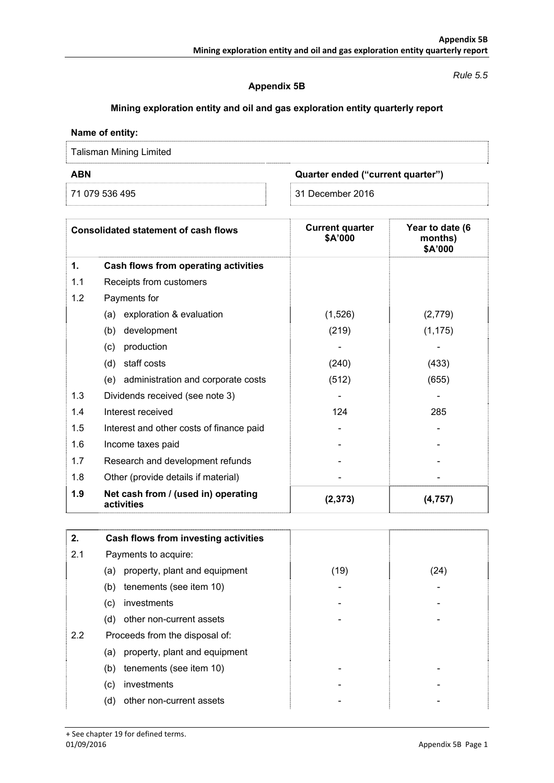*Rule 5.5* 

### **Appendix 5B**

### **Mining exploration entity and oil and gas exploration entity quarterly report**

## **Name of entity:**  Talisman Mining Limited

# **ABN Quarter ended ("current quarter")**  71 079 536 495 31 December 2016

| <b>Consolidated statement of cash flows</b> |                                                   | <b>Current quarter</b><br>\$A'000 | Year to date (6<br>months)<br>\$A'000 |
|---------------------------------------------|---------------------------------------------------|-----------------------------------|---------------------------------------|
| 1.                                          | Cash flows from operating activities              |                                   |                                       |
| 1.1                                         | Receipts from customers                           |                                   |                                       |
| 1.2                                         | Payments for                                      |                                   |                                       |
|                                             | exploration & evaluation<br>(a)                   | (1,526)                           | (2,779)                               |
|                                             | development<br>(b)                                | (219)                             | (1, 175)                              |
|                                             | production<br>(c)                                 |                                   |                                       |
|                                             | staff costs<br>(d)                                | (240)                             | (433)                                 |
|                                             | (e) administration and corporate costs            | (512)                             | (655)                                 |
| 1.3                                         | Dividends received (see note 3)                   |                                   |                                       |
| 1.4                                         | Interest received                                 | 124                               | 285                                   |
| 1.5                                         | Interest and other costs of finance paid          |                                   |                                       |
| 1.6                                         | Income taxes paid                                 |                                   |                                       |
| 1.7                                         | Research and development refunds                  |                                   |                                       |
| 1.8                                         | Other (provide details if material)               |                                   |                                       |
| 1.9                                         | Net cash from / (used in) operating<br>activities | (2, 373)                          | (4, 757)                              |

| 2.  | Cash flows from investing activities |      |      |
|-----|--------------------------------------|------|------|
| 2.1 | Payments to acquire:                 |      |      |
|     | property, plant and equipment<br>(a) | (19) | (24) |
| (b) | tenements (see item 10)              |      |      |
| (c) | investments                          |      |      |
|     | other non-current assets<br>(d)      |      |      |
| 2.2 | Proceeds from the disposal of:       |      |      |
|     | property, plant and equipment<br>(a) |      |      |
| (b) | tenements (see item 10)              |      |      |
| (c) | investments                          |      |      |
| (d) | other non-current assets             |      |      |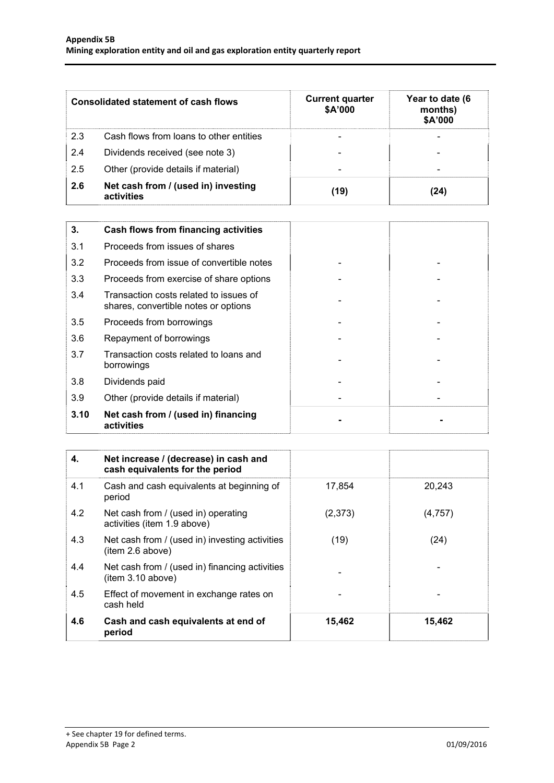| <b>Consolidated statement of cash flows</b> |                                                   | <b>Current quarter</b><br>\$A'000 | Year to date (6<br>months)<br>\$A'000 |
|---------------------------------------------|---------------------------------------------------|-----------------------------------|---------------------------------------|
| 2.3                                         | Cash flows from loans to other entities           |                                   |                                       |
| $\vert 2.4$                                 | Dividends received (see note 3)                   |                                   |                                       |
| 2.5                                         | Other (provide details if material)               |                                   |                                       |
| $\vert$ 2.6                                 | Net cash from / (used in) investing<br>activities | (19)                              | (24)                                  |

| 3.   | Cash flows from financing activities                                           |  |
|------|--------------------------------------------------------------------------------|--|
| 3.1  | Proceeds from issues of shares                                                 |  |
| 3.2  | Proceeds from issue of convertible notes                                       |  |
| 3.3  | Proceeds from exercise of share options                                        |  |
| 3.4  | Transaction costs related to issues of<br>shares, convertible notes or options |  |
| 3.5  | Proceeds from borrowings                                                       |  |
| 3.6  | Repayment of borrowings                                                        |  |
| 3.7  | Transaction costs related to loans and<br>borrowings                           |  |
| 3.8  | Dividends paid                                                                 |  |
| 3.9  | Other (provide details if material)                                            |  |
| 3.10 | Net cash from / (used in) financing<br>activities                              |  |

| 4.  | Net increase / (decrease) in cash and<br>cash equivalents for the period |         |         |
|-----|--------------------------------------------------------------------------|---------|---------|
| 4.1 | Cash and cash equivalents at beginning of<br>period                      | 17,854  | 20,243  |
| 4.2 | Net cash from / (used in) operating<br>activities (item 1.9 above)       | (2,373) | (4,757) |
| 4.3 | Net cash from / (used in) investing activities<br>(item 2.6 above)       | (19)    | (24)    |
| 4.4 | Net cash from / (used in) financing activities<br>item 3.10 above)       |         |         |
| 4.5 | Effect of movement in exchange rates on<br>cash held                     |         |         |
| 4.6 | Cash and cash equivalents at end of<br>period                            | 15,462  | 15,462  |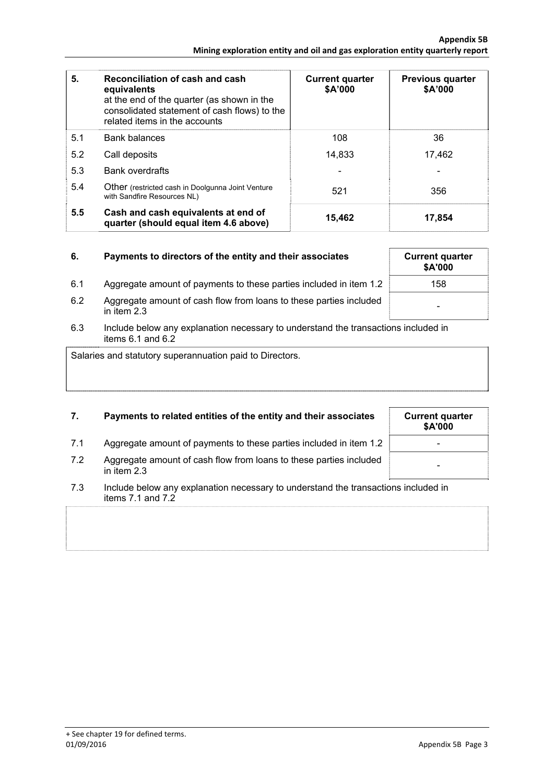| 5.  | Reconciliation of cash and cash<br>equivalents<br>at the end of the quarter (as shown in the<br>consolidated statement of cash flows) to the<br>related items in the accounts | <b>Current quarter</b><br>\$A'000 | <b>Previous quarter</b><br>\$A'000 |
|-----|-------------------------------------------------------------------------------------------------------------------------------------------------------------------------------|-----------------------------------|------------------------------------|
| 5.1 | <b>Bank balances</b>                                                                                                                                                          | 108                               | 36                                 |
| 5.2 | Call deposits                                                                                                                                                                 | 14,833                            | 17,462                             |
| 5.3 | <b>Bank overdrafts</b>                                                                                                                                                        |                                   |                                    |
| 5.4 | <b>Other</b> (restricted cash in Doolgunna Joint Venture<br>with Sandfire Resources NL)                                                                                       | 521                               | 356                                |
| 5.5 | Cash and cash equivalents at end of<br>quarter (should equal item 4.6 above)                                                                                                  | 15,462                            | 17,854                             |

| 6.  | Payments to directors of the entity and their associates                            | <b>Current quarter</b><br>\$A'000 |
|-----|-------------------------------------------------------------------------------------|-----------------------------------|
| 6.1 | Aggregate amount of payments to these parties included in item 1.2                  | 158                               |
| 6.2 | Aggregate amount of cash flow from loans to these parties included<br>in item $2.3$ |                                   |

6.3 Include below any explanation necessary to understand the transactions included in items  $6.1$  and  $6.2$ 

Salaries and statutory superannuation paid to Directors.

### **7.** Payments to related entities of the entity and their associates

- 7.1 Aggregate amount of payments to these parties included in item 1.2
- 7.2 Aggregate amount of cash flow from loans to these parties included in item 2.3 -
- 7.3 Include below any explanation necessary to understand the transactions included in items 7.1 and 7.2

| <b>Current quarter</b><br>\$A'000 |
|-----------------------------------|
|                                   |
|                                   |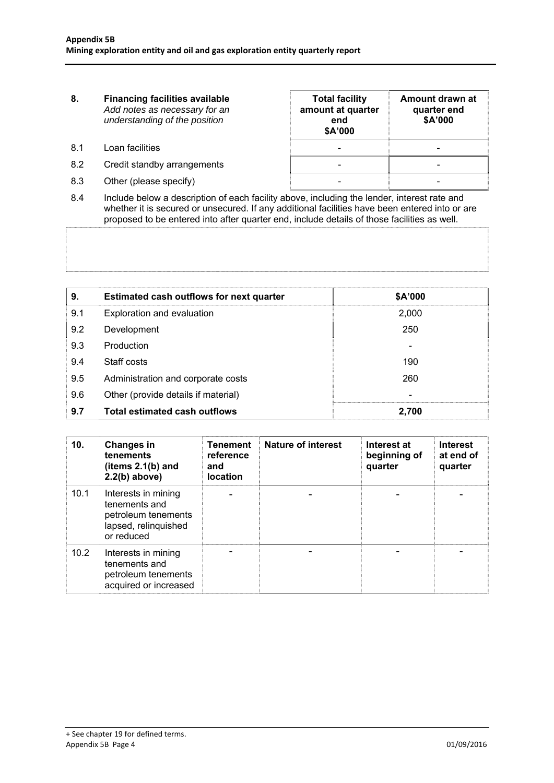| 8.  | <b>Financing facilities available</b><br>Add notes as necessary for an<br>understanding of the position | <b>Total facility</b><br>amount at quarter<br>end<br>\$A'000 | Amount drawn at<br>quarter end<br>\$A'000 |
|-----|---------------------------------------------------------------------------------------------------------|--------------------------------------------------------------|-------------------------------------------|
| 8.1 | Loan facilities                                                                                         |                                                              |                                           |
| 8.2 | Credit standby arrangements                                                                             |                                                              |                                           |
| 8.3 | Other (please specify)                                                                                  |                                                              |                                           |

8.4 Include below a description of each facility above, including the lender, interest rate and whether it is secured or unsecured. If any additional facilities have been entered into or are proposed to be entered into after quarter end, include details of those facilities as well.

| 9.  | Estimated cash outflows for next quarter | \$A'000 |
|-----|------------------------------------------|---------|
| 9.1 | Exploration and evaluation               | 2,000   |
| 9.2 | Development                              | 250     |
| 9.3 | Production                               |         |
| 9.4 | Staff costs                              | 190     |
| 9.5 | Administration and corporate costs       | 260     |
| 9.6 | Other (provide details if material)      | ۰       |
| 9.7 | <b>Total estimated cash outflows</b>     | 2,700   |

| 10.  | <b>Changes in</b><br>tenements<br>(items $2.1(b)$ and<br>$2.2(b)$ above)                          | <b>Tenement</b><br>reference<br>and<br><b>location</b> | <b>Nature of interest</b> | Interest at<br>beginning of<br>quarter | <b>Interest</b><br>at end of<br>quarter |
|------|---------------------------------------------------------------------------------------------------|--------------------------------------------------------|---------------------------|----------------------------------------|-----------------------------------------|
| 10.1 | Interests in mining<br>tenements and<br>petroleum tenements<br>lapsed, relinquished<br>or reduced |                                                        |                           |                                        |                                         |
| 10.2 | Interests in mining<br>tenements and<br>petroleum tenements<br>acquired or increased              |                                                        |                           |                                        |                                         |